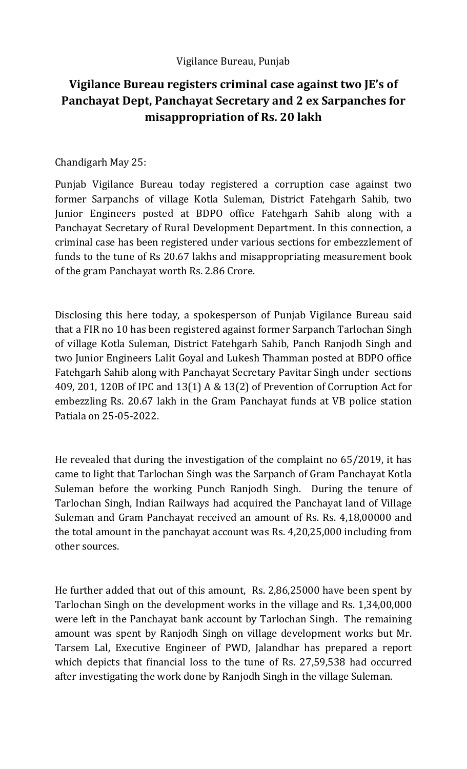## **Vigilance Bureau registers criminal case against two JE's of Panchayat Dept, Panchayat Secretary and 2 ex Sarpanches for misappropriation of Rs. 20 lakh**

## Chandigarh May 25:

Punjab Vigilance Bureau today registered a corruption case against two former Sarpanchs of village Kotla Suleman, District Fatehgarh Sahib, two Junior Engineers posted at BDPO office Fatehgarh Sahib along with a Panchayat Secretary of Rural Development Department. In this connection, a criminal case has been registered under various sections for embezzlement of funds to the tune of Rs 20.67 lakhs and misappropriating measurement book of the gram Panchayat worth Rs. 2.86 Crore.

Disclosing this here today, a spokesperson of Punjab Vigilance Bureau said that a FIR no 10 has been registered against former Sarpanch Tarlochan Singh of village Kotla Suleman, District Fatehgarh Sahib, Panch Ranjodh Singh and two Junior Engineers Lalit Goyal and Lukesh Thamman posted at BDPO office Fatehgarh Sahib along with Panchayat Secretary Pavitar Singh under sections 409, 201, 120B of IPC and 13(1) A & 13(2) of Prevention of Corruption Act for embezzling Rs. 20.67 lakh in the Gram Panchayat funds at VB police station Patiala on 25-05-2022.

He revealed that during the investigation of the complaint no 65/2019, it has came to light that Tarlochan Singh was the Sarpanch of Gram Panchayat Kotla Suleman before the working Punch Ranjodh Singh. During the tenure of Tarlochan Singh, Indian Railways had acquired the Panchayat land of Village Suleman and Gram Panchayat received an amount of Rs. Rs. 4,18,00000 and the total amount in the panchayat account was Rs. 4,20,25,000 including from other sources.

He further added that out of this amount, Rs. 2,86,25000 have been spent by Tarlochan Singh on the development works in the village and Rs. 1,34,00,000 were left in the Panchayat bank account by Tarlochan Singh. The remaining amount was spent by Ranjodh Singh on village development works but Mr. Tarsem Lal, Executive Engineer of PWD, Jalandhar has prepared a report which depicts that financial loss to the tune of Rs. 27,59,538 had occurred after investigating the work done by Ranjodh Singh in the village Suleman.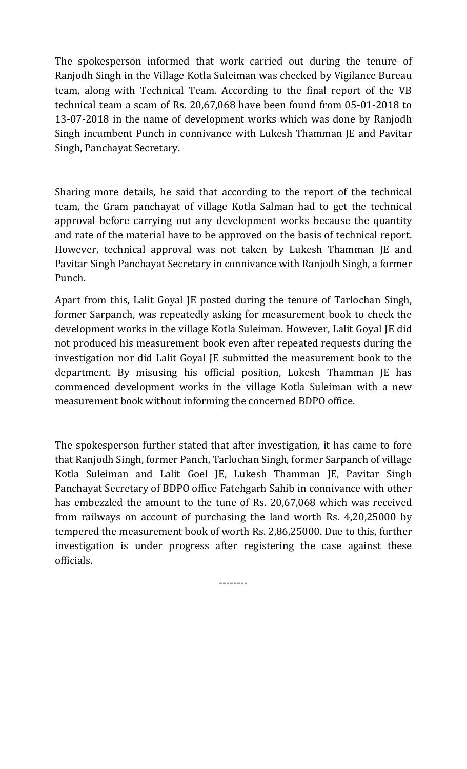The spokesperson informed that work carried out during the tenure of Ranjodh Singh in the Village Kotla Suleiman was checked by Vigilance Bureau team, along with Technical Team. According to the final report of the VB technical team a scam of Rs. 20,67,068 have been found from 05-01-2018 to 13-07-2018 in the name of development works which was done by Ranjodh Singh incumbent Punch in connivance with Lukesh Thamman JE and Pavitar Singh, Panchayat Secretary.

Sharing more details, he said that according to the report of the technical team, the Gram panchayat of village Kotla Salman had to get the technical approval before carrying out any development works because the quantity and rate of the material have to be approved on the basis of technical report. However, technical approval was not taken by Lukesh Thamman JE and Pavitar Singh Panchayat Secretary in connivance with Ranjodh Singh, a former Punch.

Apart from this, Lalit Goyal JE posted during the tenure of Tarlochan Singh, former Sarpanch, was repeatedly asking for measurement book to check the development works in the village Kotla Suleiman. However, Lalit Goyal JE did not produced his measurement book even after repeated requests during the investigation nor did Lalit Goyal JE submitted the measurement book to the department. By misusing his official position, Lokesh Thamman JE has commenced development works in the village Kotla Suleiman with a new measurement book without informing the concerned BDPO office.

The spokesperson further stated that after investigation, it has came to fore that Ranjodh Singh, former Panch, Tarlochan Singh, former Sarpanch of village Kotla Suleiman and Lalit Goel JE, Lukesh Thamman JE, Pavitar Singh Panchayat Secretary of BDPO office Fatehgarh Sahib in connivance with other has embezzled the amount to the tune of Rs. 20,67,068 which was received from railways on account of purchasing the land worth Rs. 4,20,25000 by tempered the measurement book of worth Rs. 2,86,25000. Due to this, further investigation is under progress after registering the case against these officials.

--------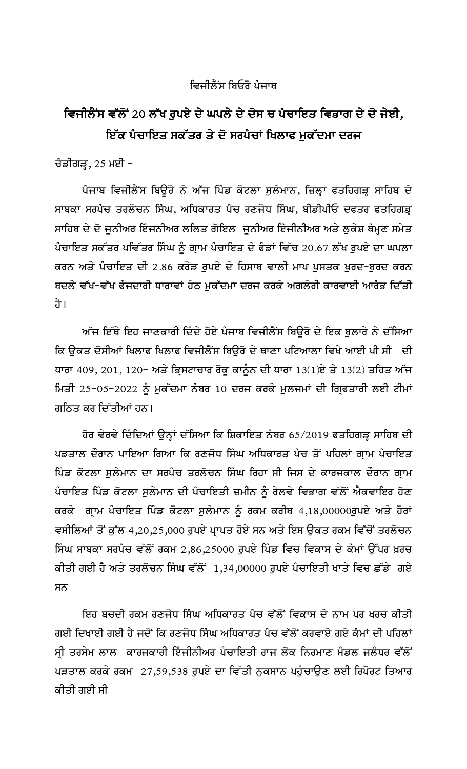## ਵਿਜੀਲੈਂਸ ਬਿਓਂਰੋ ਪੰਜਾਬ

## ਵਿਜੀਲੈਂਸ ਵੱਲੋਂ 20 ਲੱਖ ਰੁਪਏ ਦੇ ਘਪਲੇ ਦੇ ਦੋਸ ਚ ਪੰਚਾਇਤ ਵਿਭਾਗ ਦੇ ਦੋ ਜੇਈ, ਇੱਕ ਪੈਚਾਇਤ ਸਕੱਤਰ ਤੇ ਦੋ ਸਰਪੰਚਾਂ ਖਿਲਾਫ ਮੁਕੱਦਮਾ ਦਰਜ

ਚੰਡੀਗੜ੍ਹ,  $25$  ਮਈ  $-$ 

ਪੰਜਾਬ ਵਿਜੀਲੈਂਸ ਬਿਊਰੋ ਨੇ ਅੱਜ ਪਿੰਡ ਕੋਟਲਾ ਸੁਲੇਮਾਨ, ਜ਼ਿਲ੍ਹਾ ਫਤਹਿਗੜ੍ਹ ਸਾਹਿਬ ਦੇ ਸਾਬਕਾ ਸਰਪੰਚ ਤਰਲੋਚਨ ਸਿੰਘ, ਅਧਿਕਾਰਤ ਪੰਚ ਰਣਜੋਧ ਸਿੰਘ, ਬੀਡੀਪੀਓ ਦਫਤਰ ਫਤਹਿਗੜ੍ਹ ਸਾਹਿਬ ਦੇ ਦੋ ਜੁਨੀਅਰ ਇੰਜਨੀਅਰ ਲਲਿਤ ਗੋਇਲ ਜੁਨੀਅਰ ਇੰਜੀਨੀਅਰ ਅਤੇ ਲੁਕੇਸ਼ ਥੈਮ੍ਹਣ ਸਮੇਤ ਪੰਚਾਇਤ ਸਕੱਤਰ ਪਵਿੱਤਰ ਸਿੰਘ ਨੂੰ ਗ੍ਰਾਮ ਪੰਚਾਇਤ ਦੇ ਫੈਡਾਂ ਵਿੱਚ 20.67 ਲੱਖ ਰੁਪਏ ਦਾ ਘਪਲਾ ਕਰਨ ਅਤੇ ਪੰਚਾਇਤ ਦੀ 2.86 ਕਰੋੜ ਰੁਪਏ ਦੇ ਹਿਸਾਬ ਵਾਲੀ ਮਾਪ ਪੁਸਤਕ ਖੁਰਦ-ਬੁਰਦ ਕਰਨ ਬਦਲੇ ਵੱਖ-ਵੱਖ ਫੌਜਦਾਰੀ ਧਾਰਾਵਾਂ ਹੇਠ ਮੁਕੱਦਮਾ ਦਰਜ ਕਰਕੇ ਅਗਲੇਰੀ ਕਾਰਵਾਈ ਆਰੰਭ ਦਿੱਤੀ तै ।

ਅੱਜ ਇੱਥੇ ਇਹ ਜਾਣਕਾਰੀ ਦਿੰਦੇ ਹੋਏ ਪੰਜਾਬ ਵਿਜੀਲੈਂਸ ਬਿਊਰੋ ਦੇ ਇਕ ਬੁਲਾਰੇ ਨੇ ਦੱਸਿਆ ਕਿ ੳਕਤ ਦੋਸੀਆਂ ਖਿਲਾਫ ਖਿਲਾਫ ਵਿਜੀਲੈਂਸ ਬਿੳਰੋ ਦੇ ਥਾਣਾ ਪਟਿਆਲਾ ਵਿਖੇ ਆਈ ਪੀ ਸੀ \_ਦੀ ਧਾਰਾ 409, 201, 120- ਅਤੇ ਭ੍ਰਿਸਟਾਚਾਰ ਰੋਕੂ ਕਾਨੂੰਨ ਦੀ ਧਾਰਾ 13(1)ਏ ਤੇ 13(2) ਤਹਿਤ ਅੱਜ ਮਿਤੀ 25-05-2022 ਨੂੰ ਮੁਕੱਦਮਾ ਨੰਬਰ 10 ਦਰਜ ਕਰਕੇ ਮੁਲਜਮਾਂ ਦੀ ਗ੍ਰਿਫਤਾਰੀ ਲਈ ਟੀਮਾਂ ਗਠਿਤ ਕਰ ਦਿੱਤੀਆਂ ਹਨ।

ਹੋਰ ਵੇਰਵੇ ਦਿੰਦਿਆਂ ਉਨ੍ਹਾਂ ਦੱਸਿਆ ਕਿ ਸ਼ਿਕਾਇਤ ਨੰਬਰ 65/2019 ਫਤਹਿਗੜ੍ਹ ਸਾਹਿਬ ਦੀ ਪਡਤਾਲ ਦੌਰਾਨ ਪਾਇਆ ਗਿਆ ਕਿ ਰਣਜੋਧ ਸਿੰਘ ਅਧਿਕਾਰਤ ਪੰਚ ਤੋਂ ਪਹਿਲਾਂ ਗ੍ਰਾਮ ਪੰਚਾਇਤ ਪਿੰਡ ਕੋਟਲਾ ਸੁਲੇਮਾਨ ਦਾ ਸਰਪੰਚ ਤਰਲੋਚਨ ਸਿੰਘ ਰਿਹਾ ਸੀ ਜਿਸ ਦੇ ਕਾਰਜਕਾਲ ਦੌਰਾਨ ਗ੍ਰਾਮ ਪੰਚਾਇਤ ਪਿੰਡ ਕੋਟਲਾ ਸੁਲੇਮਾਨ ਦੀ ਪੰਚਾਇਤੀ ਜ਼ਮੀਨ ਨੂੰ ਰੇਲਵੇ ਵਿਭਾਗ ਵੱਲੋਂ ਐਕਵਾਇਰ ਹੋਣ ਕਰਕੇ ਗ੍ਰਾਮ ਪੰਚਾਇਤ ਪਿੰਡ ਕੋਟਲਾ ਸੁਲੇਮਾਨ ਨੂੰ ਰਕਮ ਕਰੀਬ 4,18,00000ਰੁਪਏ ਅਤੇ ਹੋਰਾਂ ਵਸੀਲਿਆਂ ਤੋਂ ਕੁੱਲ 4,20,25,000 ਰੁਪਏ ਪ੍ਰਾਪਤ ਹੋਏ ਸਨ ਅਤੇ ਇਸ ਉਕਤ ਰਕਮ ਵਿੱਚੋਂ ਤਰਲੋਚਨ ਸਿੰਘ ਸਾਬਕਾ ਸਰਪੰਚ ਵੱਲੋਂ ਰਕਮ 2,86,25000 ਰੁਪਏ ਪਿੰਡ ਵਿਚ ਵਿਕਾਸ ਦੇ ਕੰਮਾਂ ਉੱਪਰ ਖ਼ਰਚ ਕੀਤੀ ਗਈ ਹੈ ਅਤੇ ਤਰਲੋਚਨ ਸਿੰਘ ਵੱਲੋਂ 1,34,00000 ਰੁਪਏ ਪੰਚਾਇਤੀ ਖਾਤੇ ਵਿਚ ਛੱਡੇ ਗਏ ਸਨ

ਇਹ ਬਚਦੀ ਰਕਮ ਰਣਜੋਧ ਸਿੰਘ ਅਧਿਕਾਰਤ ਪੰਚ ਵੱਲੋਂ ਵਿਕਾਸ ਦੇ ਨਾਮ ਪਰ ਖਰਚ ਕੀਤੀ ਗਈ ਦਿਖਾਈ ਗਈ ਹੈ ਜਦੋਂ ਕਿ ਰਣਜੋਧ ਸਿੰਘ ਅਧਿਕਾਰਤ ਪੰਚ ਵੱਲੋਂ ਕਰਵਾਏ ਗਏ ਕੰਮਾਂ ਦੀ ਪਹਿਲਾਂ ਸ੍ਰੀ ਤਰਸੇਮ ਲਾਲ ਕਾਰਜਕਾਰੀ ਇੰਜੀਨੀਅਰ ਪੰਚਾਇਤੀ ਰਾਜ ਲੋਕ ਨਿਰਮਾਣ ਮੰਡਲ ਜਲੰਧਰ ਵੱਲੋਂ ਪੜਤਾਲ ਕਰਕੇ ਰਕਮ 27,59,538 ਰੁਪਏ ਦਾ ਵਿੱਤੀ ਨੁਕਸਾਨ ਪਹੁੰਚਾਉਣ ਲਈ ਰਿਪੋਰਟ ਤਿਆਰ ਕੀਤੀ ਗਈ ਸੀ